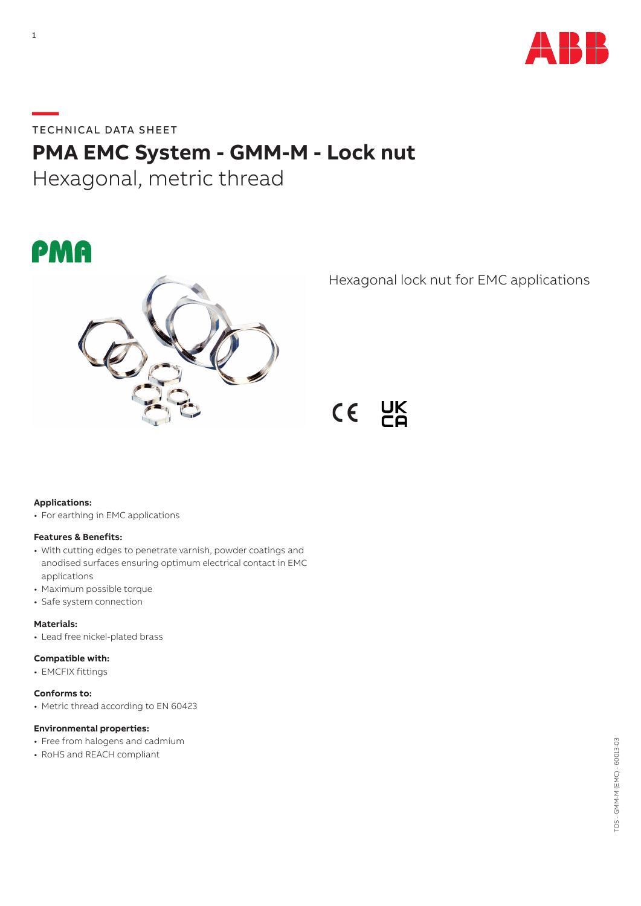

**—**TECHNICAL DATA SHEET

# **PMA EMC System - GMM-M - Lock nut**

Hexagonal, metric thread





Hexagonal lock nut for EMC applications



# **Applications:**

• For earthing in EMC applications

## **Features & Benefits:**

- With cutting edges to penetrate varnish, powder coatings and anodised surfaces ensuring optimum electrical contact in EMC applications
- Maximum possible torque
- Safe system connection

#### **Materials:**

• Lead free nickel-plated brass

#### **Compatible with:**

• EMCFIX fittings

## **Conforms to:**

• Metric thread according to EN 60423

# **Environmental properties:**

- Free from halogens and cadmium
- RoHS and REACH compliant